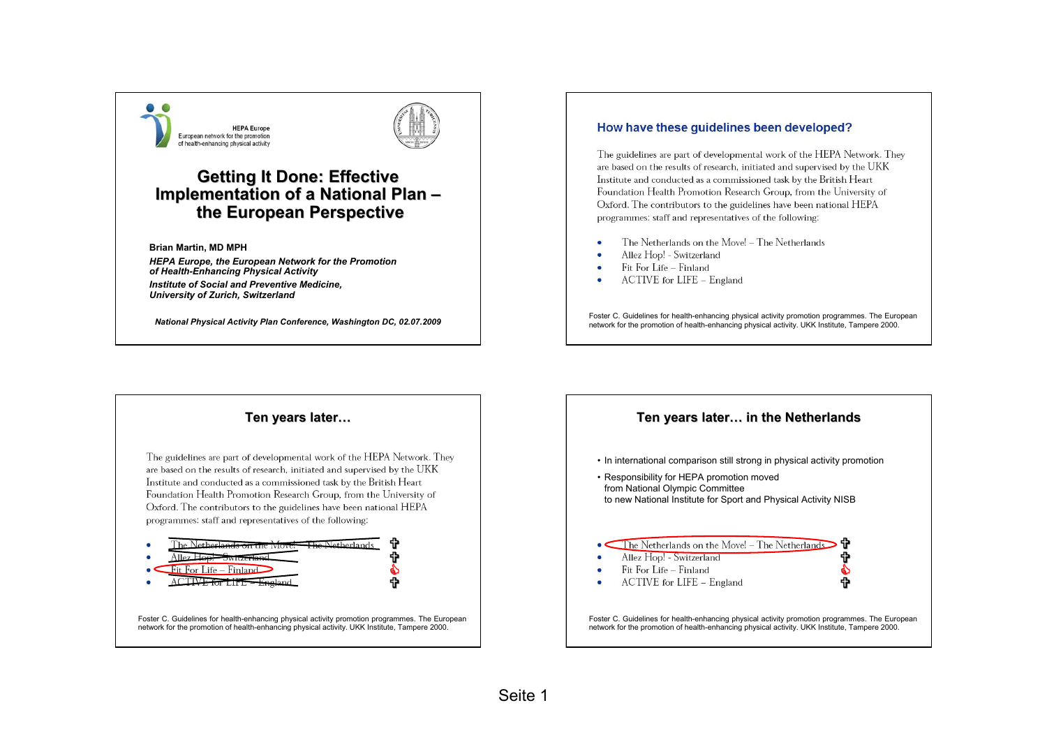



# **Getting It Done: Effective Implementation of a National Plan – the European Perspective the European Perspective**

**Brian Martin, MD MPH**

*HEPA Europe, the European Network for the Promotion of Health-Enhancing Physical Activity Institute of Social and Preventive Medicine, University of Zurich, Switzerland*

*National Physical Activity Plan Conference, Washington DC, 02.07.2009*

#### How have these quidelines been developed?

The guidelines are part of developmental work of the HEPA Network. They are based on the results of research, initiated and supervised by the UKK Institute and conducted as a commissioned task by the British Heart Foundation Health Promotion Research Group, from the University of Oxford. The contributors to the guidelines have been national HEPA programmes: staff and representatives of the following:

- The Netherlands on the Move! The Netherlands
- Allez Hop! Switzerland
- Fit For Life Finland
- ACTIVE for LIFE England

Foster C. Guidelines for health-enhancing physical activity promotion programmes. The European network for the promotion of health-enhancing physical activity. UKK Institute, Tampere 2000.

#### **Ten years later Ten years later…**

The guidelines are part of developmental work of the HEPA Network. They are based on the results of research, initiated and supervised by the UKK Institute and conducted as a commissioned task by the British Heart Foundation Health Promotion Research Group, from the University of Oxford. The contributors to the guidelines have been national HEPA programmes: staff and representatives of the following:



Foster C. Guidelines for health-enhancing physical activity promotion programmes. The European network for the promotion of health-enhancing physical activity. UKK Institute, Tampere 2000.



Foster C. Guidelines for health-enhancing physical activity promotion programmes. The European network for the promotion of health-enhancing physical activity. UKK Institute, Tampere 2000.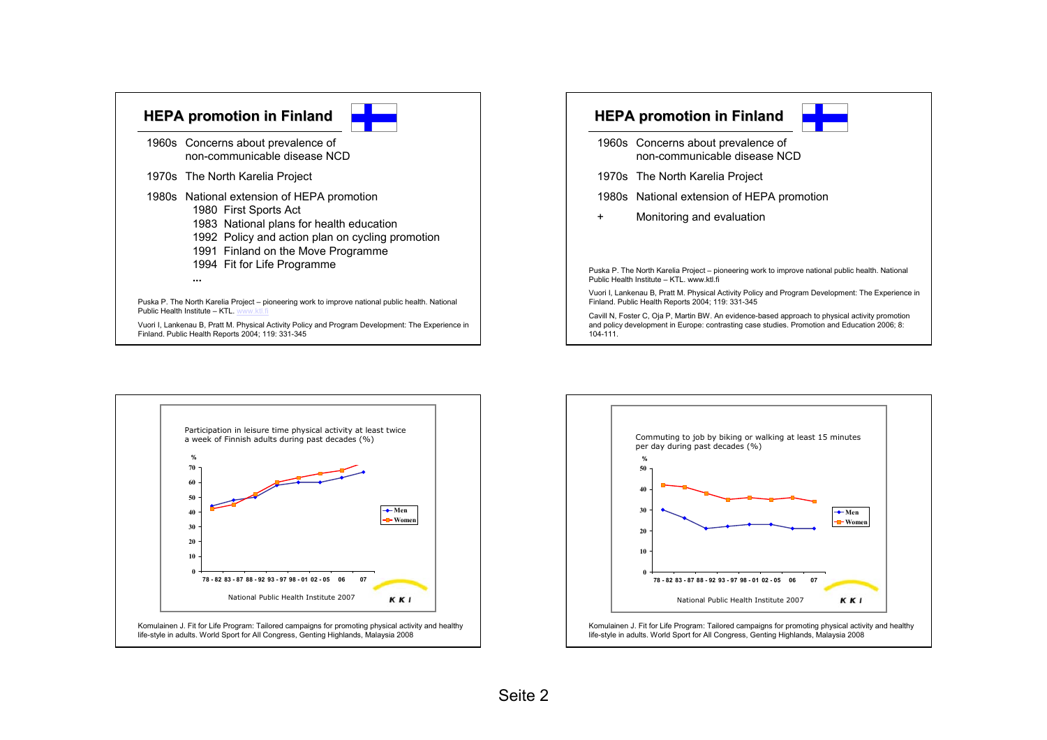| 1960s Concerns about prevalence of<br>non-communicable disease NCD                                                                                                                                                                       |
|------------------------------------------------------------------------------------------------------------------------------------------------------------------------------------------------------------------------------------------|
| 1970s The North Karelia Project                                                                                                                                                                                                          |
| 1980s National extension of HEPA promotion<br>1980 First Sports Act<br>1983 National plans for health education<br>1992 Policy and action plan on cycling promotion<br>1991 Finland on the Move Programme<br>1994 Fit for Life Programme |
|                                                                                                                                                                                                                                          |

Public Health Institute – KTL. www.ktl.fi

Vuori I, Lankenau B, Pratt M. Physical Activity Policy and Program Development: The Experience in Finland. Public Health Reports 2004; 119: 331-345





- 1960s Concerns about prevalence of non-communicable disease NCD
- 1970s The North Karelia Project
- 1980s National extension of HEPA promotion
- +Monitoring and evaluation

Puska P. The North Karelia Project – pioneering work to improve national public health. National Public Health Institute – KTL. www.ktl.fi

Vuori I, Lankenau B, Pratt M. Physical Activity Policy and Program Development: The Experience in Finland. Public Health Reports 2004; 119: 331-345

Cavill N, Foster C, Oja P, Martin BW. An evidence-based approach to physical activity promotion and policy development in Europe: contrasting case studies. Promotion and Education 2006; 8: 104-111.



Komulainen J. Fit for Life Program: Tailored campaigns for promoting physical activity and healthy life-style in adults. World Sport for All Congress, Genting Highlands, Malaysia 2008



Komulainen J. Fit for Life Program: Tailored campaigns for promoting physical activity and healthy life-style in adults. World Sport for All Congress, Genting Highlands, Malaysia 2008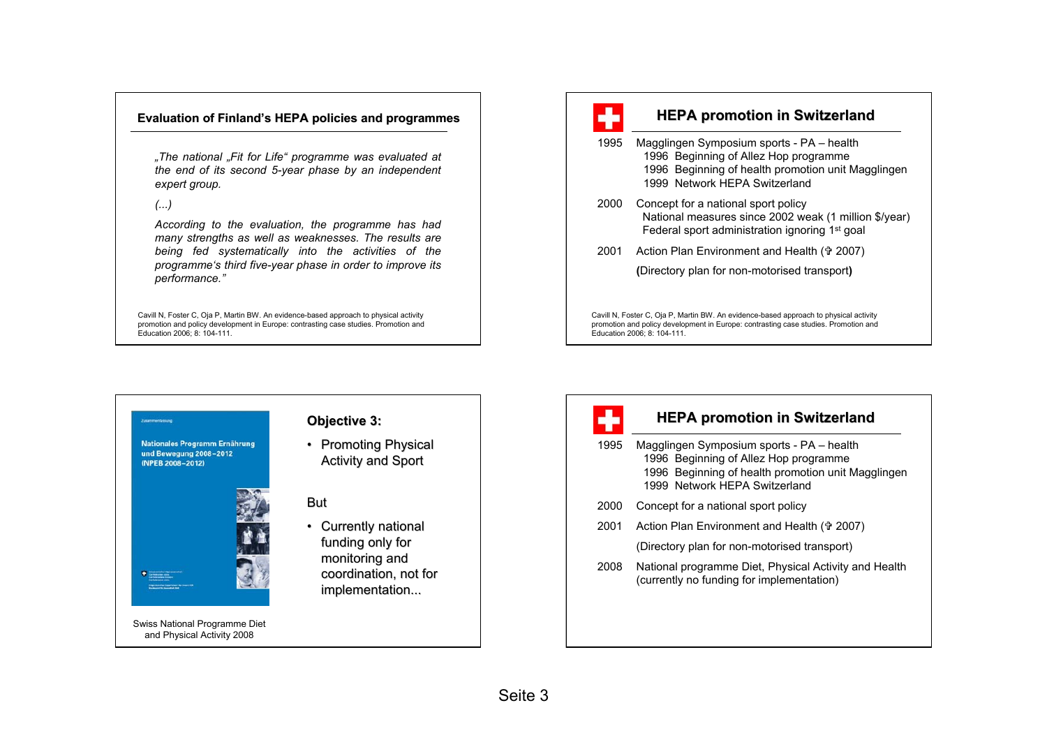#### **Evaluation of Finland's HEPA policies and programmes**

*"The national "Fit for Life" programme was evaluated at the end of its second 5-year phase by an independent expert group.*

*(...)* 

*According to the evaluation, the programme has had many strengths as well as weaknesses. The results are being fed systematically into the activities of the programme's third five-year phase in order to improve its performance."* 

Cavill N, Foster C, Oja P, Martin BW. An evidence-based approach to physical activity promotion and policy development in Europe: contrasting case studies. Promotion and Education 2006; 8: 104-111.



## **HEPA promotion in Switzerland**

- 1995 Magglingen Symposium sports PA health 1996 Beginning of Allez Hop programme 1996 Beginning of health promotion unit Magglingen 1999 Network HEPA Switzerland
- 2000 Concept for a national sport policy National measures since 2002 weak (1 million \$/year) Federal sport administration ignoring 1st goal
- 2001 Action Plan Environment and Health ( $\theta$  2007)

**(**Directory plan for non-motorised transport**)**

Cavill N, Foster C, Oja P, Martin BW. An evidence-based approach to physical activity promotion and policy development in Europe: contrasting case studies. Promotion and Education 2006; 8: 104-111.

Nationales Programm Ernährung und Bewegung 2008-2012 (NPEB 2008-2012)



## **Objective 3:**

• Promoting Physical **Activity and Sport** 

## But

• Currently national funding only for monitoring and coordination, not for implementation...



## **HEPA promotion in Switzerland**

- 1995 Magglingen Symposium sports PA health 1996 Beginning of Allez Hop programme 1996 Beginning of health promotion unit Magglingen 1999 Network HEPA Switzerland
- 2000 Concept for a national sport policy
- 2001 Action Plan Environment and Health († 2007)

(Directory plan for non-motorised transport)

2008 National programme Diet, Physical Activity and Health (currently no funding for implementation)

Swiss National Programme Diet and Physical Activity 2008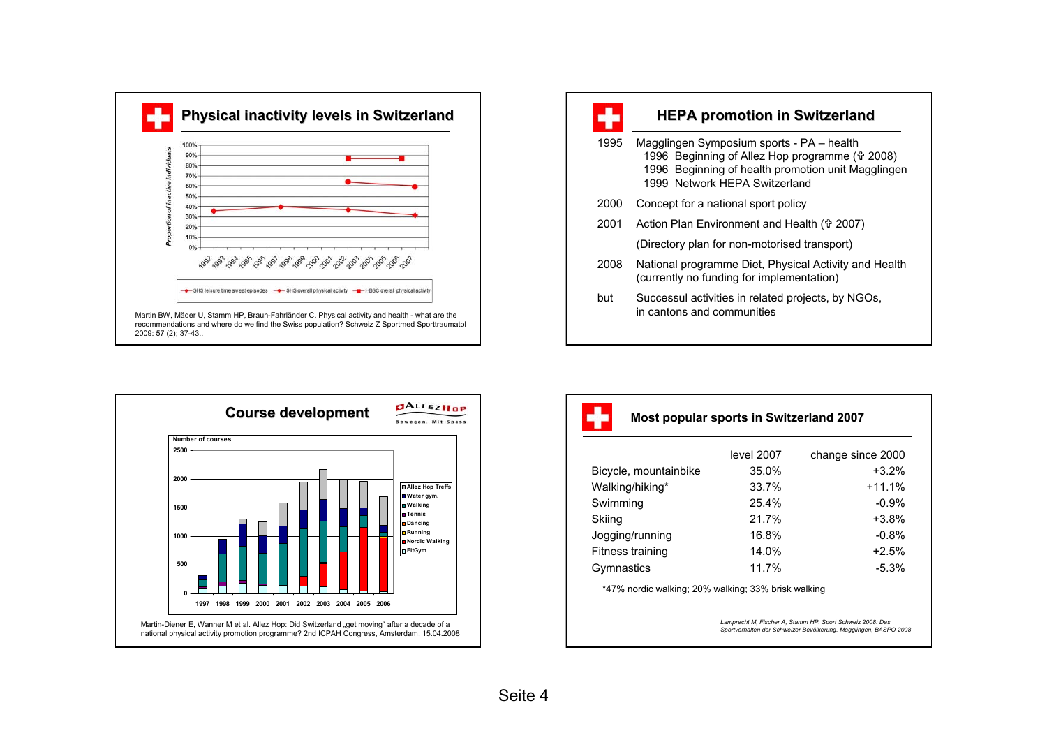

recommendations and where do we find the Swiss population? Schweiz Z Sportmed Sporttraumatol 2009: 57 (2); 37-43..



## **HEPA promotion in Switzerland**

- 1995 Magglingen Symposium sports PA health 1996 Beginning of Allez Hop programme ( $\frac{1}{2}$  2008) 1996 Beginning of health promotion unit Magglingen 1999 Network HEPA Switzerland
- 2000 Concept for a national sport policy
- 2001 Action Plan Environment and Health († 2007)

(Directory plan for non-motorised transport)

- 2008 National programme Diet, Physical Activity and Health (currently no funding for implementation)
- but Successul activities in related projects, by NGOs, in cantons and communities



Martin-Diener E, Wanner M et al. Allez Hop: Did Switzerland "get moving" after a decade of a national physical activity promotion programme? 2nd ICPAH Congress, Amsterdam, 15.04.2008

#### **Most popular sports in Switzerland 2007**

|                       | level 2007 | change since 2000 |
|-----------------------|------------|-------------------|
| Bicycle, mountainbike | 35.0%      | $+3.2%$           |
| Walking/hiking*       | 33.7%      | $+11.1%$          |
| Swimming              | 25.4%      | $-0.9%$           |
| Skiing                | 21.7%      | $+3.8%$           |
| Jogging/running       | 16.8%      | $-0.8%$           |
| Fitness training      | 14.0%      | $+2.5%$           |
| Gymnastics            | 11.7%      | $-5.3%$           |

\*47% nordic walking; 20% walking; 33% brisk walking

*Lamprecht M, Fischer A, Stamm HP. Sport Schweiz 2008: Das Sportverhalten der Schweizer Bevölkerung. Magglingen, BASPO 2008*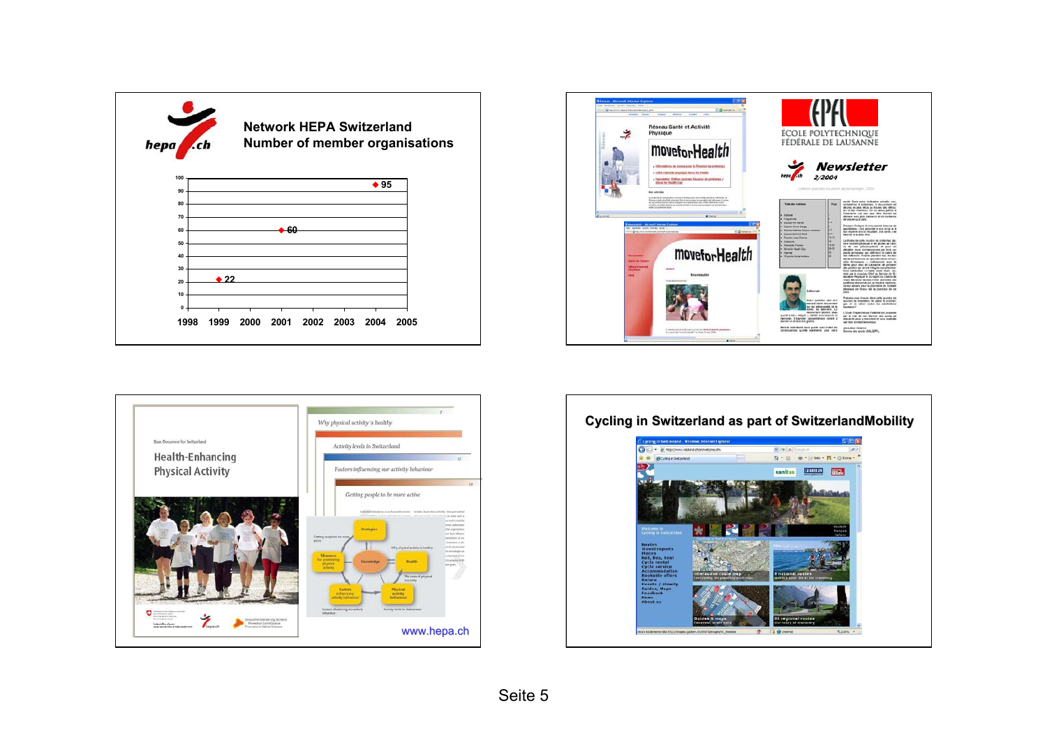







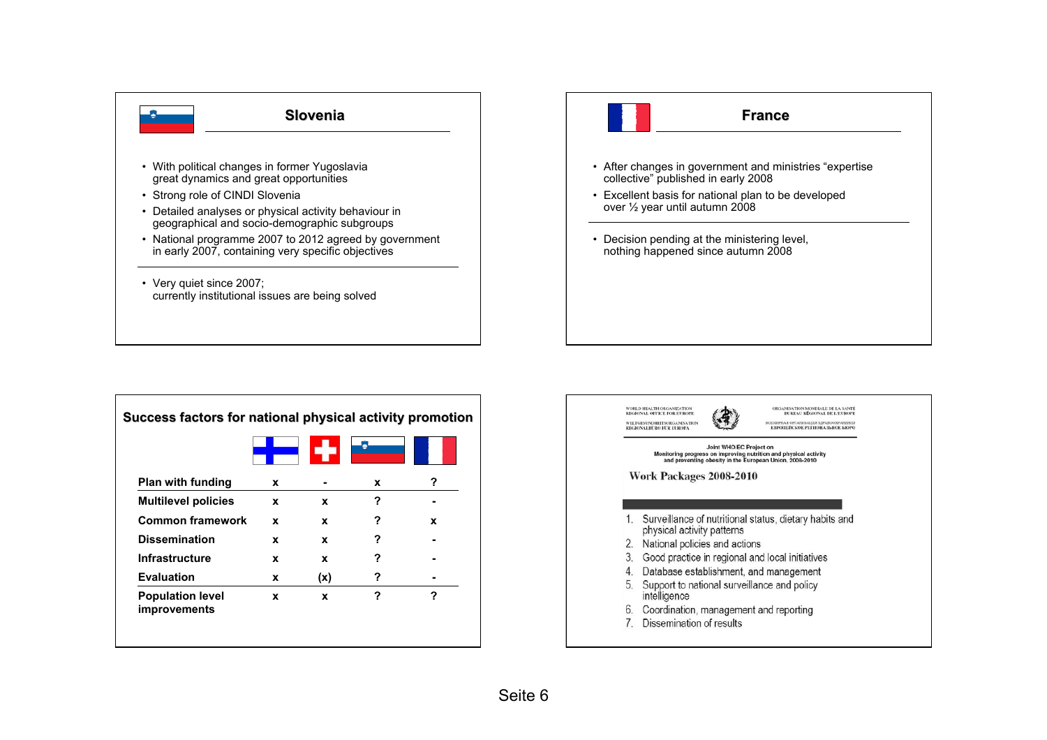

| <b>Plan with funding</b>                       | x |     | x | ? |
|------------------------------------------------|---|-----|---|---|
| <b>Multilevel policies</b>                     | x | x   | ? |   |
| <b>Common framework</b>                        | x | x   | ? | x |
| <b>Dissemination</b>                           | x | X   | ? |   |
| Infrastructure                                 | X | x   | ? |   |
| <b>Evaluation</b>                              | x | (x) | ? |   |
| <b>Population level</b><br><b>improvements</b> | X | x   | ? | ? |